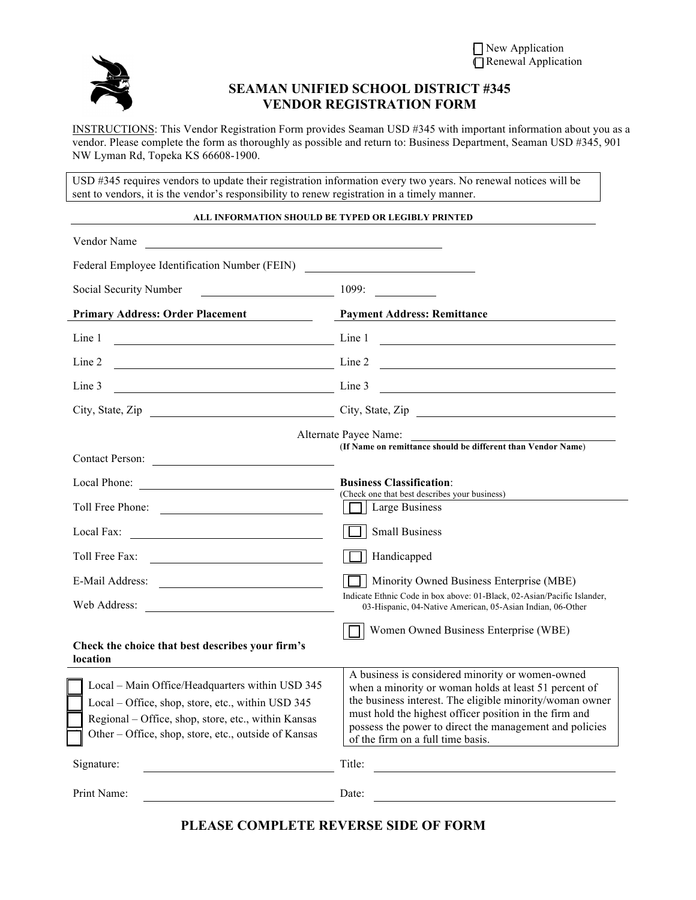

## **SEAMAN UNIFIED SCHOOL DISTRICT #345 VENDOR REGISTRATION FORM**

INSTRUCTIONS: This Vendor Registration Form provides Seaman USD #345 with important information about you as a vendor. Please complete the form as thoroughly as possible and return to: Business Department, Seaman USD #345, 901 NW Lyman Rd, Topeka KS 66608-1900.

USD #345 requires vendors to update their registration information every two years. No renewal notices will be sent to vendors, it is the vendor's responsibility to renew registration in a timely manner.

## **ALL INFORMATION SHOULD BE TYPED OR LEGIBLY PRINTED**

| Vendor Name                                                                                                                                                                                                         |                                                                                                                                                                                                                                                                                                                                 |  |  |
|---------------------------------------------------------------------------------------------------------------------------------------------------------------------------------------------------------------------|---------------------------------------------------------------------------------------------------------------------------------------------------------------------------------------------------------------------------------------------------------------------------------------------------------------------------------|--|--|
| Federal Employee Identification Number (FEIN)                                                                                                                                                                       |                                                                                                                                                                                                                                                                                                                                 |  |  |
| Social Security Number                                                                                                                                                                                              | 1099:                                                                                                                                                                                                                                                                                                                           |  |  |
| <b>Primary Address: Order Placement</b>                                                                                                                                                                             | <b>Payment Address: Remittance</b>                                                                                                                                                                                                                                                                                              |  |  |
| Line 1                                                                                                                                                                                                              | Line 1<br><u>and the state of the state of the state of the state of the state of the state of the state of the state of the state of the state of the state of the state of the state of the state of the state of the state of the state</u>                                                                                  |  |  |
| Line 2<br>$\frac{1}{2}$ Line 2                                                                                                                                                                                      | <u> 1989 - John Stein, Amerikaansk politiker (</u>                                                                                                                                                                                                                                                                              |  |  |
| Line 3<br>$\frac{1}{2}$ Line 3                                                                                                                                                                                      | <u> 1989 - Johann Harry Harry Harry Harry Harry Harry Harry Harry Harry Harry Harry Harry Harry Harry Harry Harry</u>                                                                                                                                                                                                           |  |  |
|                                                                                                                                                                                                                     | City, State, Zip City, State, Zip                                                                                                                                                                                                                                                                                               |  |  |
| Alternate Payee Name:<br>(If Name on remittance should be different than Vendor Name)<br>Contact Person:                                                                                                            |                                                                                                                                                                                                                                                                                                                                 |  |  |
|                                                                                                                                                                                                                     | <b>Business Classification:</b>                                                                                                                                                                                                                                                                                                 |  |  |
| Toll Free Phone:                                                                                                                                                                                                    | (Check one that best describes your business)<br>Large Business                                                                                                                                                                                                                                                                 |  |  |
| Local Fax:<br><u> 1989 - Johann Harry Harry Harry Harry Harry Harry Harry Harry Harry Harry Harry Harry Harry Harry Harry Harry</u>                                                                                 | <b>Small Business</b>                                                                                                                                                                                                                                                                                                           |  |  |
| Toll Free Fax:                                                                                                                                                                                                      | Handicapped                                                                                                                                                                                                                                                                                                                     |  |  |
| E-Mail Address:<br><u> 1989 - Andrea State Barbara, política establece</u>                                                                                                                                          | Minority Owned Business Enterprise (MBE)                                                                                                                                                                                                                                                                                        |  |  |
| Web Address:                                                                                                                                                                                                        | Indicate Ethnic Code in box above: 01-Black, 02-Asian/Pacific Islander,<br>03-Hispanic, 04-Native American, 05-Asian Indian, 06-Other                                                                                                                                                                                           |  |  |
| Check the choice that best describes your firm's<br>location                                                                                                                                                        | Women Owned Business Enterprise (WBE)                                                                                                                                                                                                                                                                                           |  |  |
| Local - Main Office/Headquarters within USD 345<br>Local - Office, shop, store, etc., within USD 345<br>Regional - Office, shop, store, etc., within Kansas<br>Other - Office, shop, store, etc., outside of Kansas | A business is considered minority or women-owned<br>when a minority or woman holds at least 51 percent of<br>the business interest. The eligible minority/woman owner<br>must hold the highest officer position in the firm and<br>possess the power to direct the management and policies<br>of the firm on a full time basis. |  |  |
| Signature:                                                                                                                                                                                                          | Title:                                                                                                                                                                                                                                                                                                                          |  |  |
| Print Name:                                                                                                                                                                                                         | Date:                                                                                                                                                                                                                                                                                                                           |  |  |

**PLEASE COMPLETE REVERSE SIDE OF FORM**